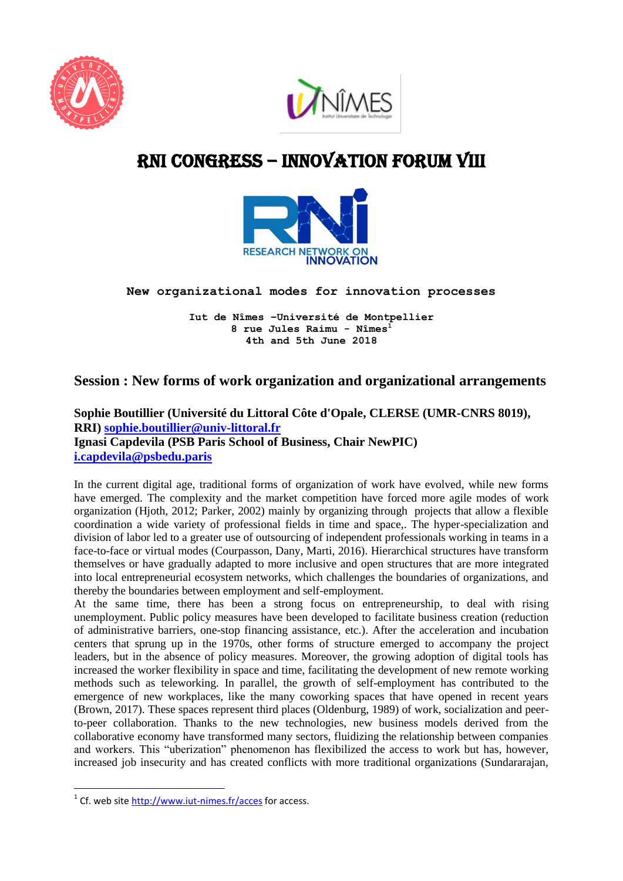



# RNI cONGRESS – innovation Forum VIII



**New organizational modes for innovation processes** 

**Iut de Nîmes –Université de Montpellier 8 rue Jules Raimu - Nîmes<sup>1</sup> 4th and 5th June 2018**

# **Session : New forms of work organization and organizational arrangements**

**Sophie Boutillier (Université du Littoral Côte d'Opale, CLERSE (UMR-CNRS 8019), RRI) [sophie.boutillier@univ-littoral.fr](mailto:sophie.boutillier@univ-littoral.fr) Ignasi Capdevila (PSB Paris School of Business, Chair NewPIC) [i.capdevila@psbedu.paris](mailto:i.capdevila@psbedu.paris)**

In the current digital age, traditional forms of organization of work have evolved, while new forms have emerged. The complexity and the market competition have forced more agile modes of work organization (Hjoth, 2012; Parker, 2002) mainly by organizing through projects that allow a flexible coordination a wide variety of professional fields in time and space,. The hyper-specialization and division of labor led to a greater use of outsourcing of independent professionals working in teams in a face-to-face or virtual modes (Courpasson, Dany, Marti, 2016). Hierarchical structures have transform themselves or have gradually adapted to more inclusive and open structures that are more integrated into local entrepreneurial ecosystem networks, which challenges the boundaries of organizations, and thereby the boundaries between employment and self-employment.

At the same time, there has been a strong focus on entrepreneurship, to deal with rising unemployment. Public policy measures have been developed to facilitate business creation (reduction of administrative barriers, one-stop financing assistance, etc.). After the acceleration and incubation centers that sprung up in the 1970s, other forms of structure emerged to accompany the project leaders, but in the absence of policy measures. Moreover, the growing adoption of digital tools has increased the worker flexibility in space and time, facilitating the development of new remote working methods such as teleworking. In parallel, the growth of self-employment has contributed to the emergence of new workplaces, like the many coworking spaces that have opened in recent years (Brown, 2017). These spaces represent third places (Oldenburg, 1989) of work, socialization and peerto-peer collaboration. Thanks to the new technologies, new business models derived from the collaborative economy have transformed many sectors, fluidizing the relationship between companies and workers. This "uberization" phenomenon has flexibilized the access to work but has, however, increased job insecurity and has created conflicts with more traditional organizations (Sundararajan,

**.** 

<sup>&</sup>lt;sup>1</sup> Cf. web site<http://www.iut-nimes.fr/acces> for access.